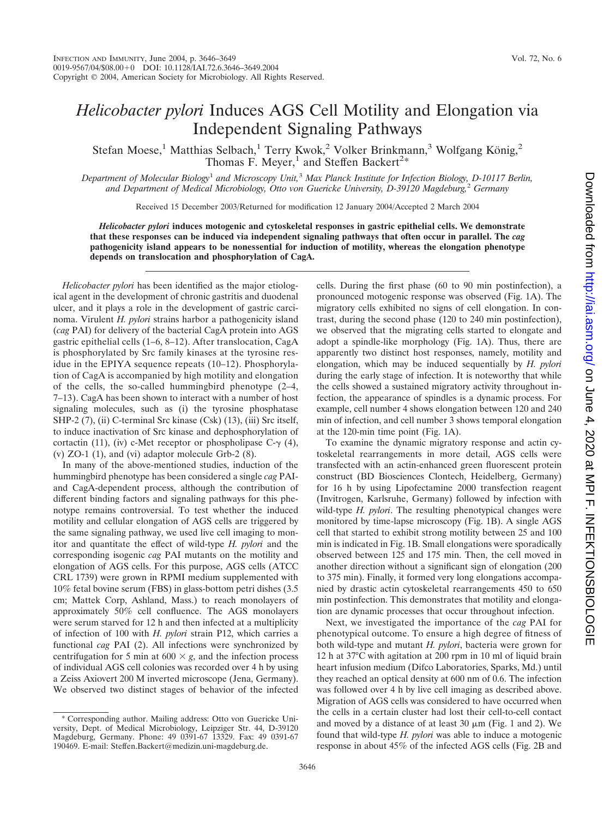## *Helicobacter pylori* Induces AGS Cell Motility and Elongation via Independent Signaling Pathways

Stefan Moese,<sup>1</sup> Matthias Selbach,<sup>1</sup> Terry Kwok,<sup>2</sup> Volker Brinkmann,<sup>3</sup> Wolfgang König,<sup>2</sup> Thomas F. Meyer,<sup>1</sup> and Steffen Backert<sup>2\*</sup>

*Department of Molecular Biology*<sup>1</sup> *and Microscopy Unit,*<sup>3</sup> *Max Planck Institute for Infection Biology, D-10117 Berlin, and Department of Medical Microbiology, Otto von Guericke University, D-39120 Magdeburg,*<sup>2</sup> *Germany*

Received 15 December 2003/Returned for modification 12 January 2004/Accepted 2 March 2004

*Helicobacter pylori* **induces motogenic and cytoskeletal responses in gastric epithelial cells. We demonstrate that these responses can be induced via independent signaling pathways that often occur in parallel. The** *cag* **pathogenicity island appears to be nonessential for induction of motility, whereas the elongation phenotype depends on translocation and phosphorylation of CagA.**

*Helicobacter pylori* has been identified as the major etiological agent in the development of chronic gastritis and duodenal ulcer, and it plays a role in the development of gastric carcinoma. Virulent *H. pylori* strains harbor a pathogenicity island (*cag* PAI) for delivery of the bacterial CagA protein into AGS gastric epithelial cells (1–6, 8–12). After translocation, CagA is phosphorylated by Src family kinases at the tyrosine residue in the EPIYA sequence repeats (10–12). Phosphorylation of CagA is accompanied by high motility and elongation of the cells, the so-called hummingbird phenotype (2–4, 7–13). CagA has been shown to interact with a number of host signaling molecules, such as (i) the tyrosine phosphatase SHP-2 (7), (ii) C-terminal Src kinase (Csk) (13), (iii) Src itself, to induce inactivation of Src kinase and dephosphorylation of cortactin (11), (iv) c-Met receptor or phospholipase  $C-\gamma$  (4), (v)  $ZO-1$  (1), and (vi) adaptor molecule Grb-2 (8).

In many of the above-mentioned studies, induction of the hummingbird phenotype has been considered a single *cag* PAIand CagA-dependent process, although the contribution of different binding factors and signaling pathways for this phenotype remains controversial. To test whether the induced motility and cellular elongation of AGS cells are triggered by the same signaling pathway, we used live cell imaging to monitor and quantitate the effect of wild-type *H. pylori* and the corresponding isogenic *cag* PAI mutants on the motility and elongation of AGS cells. For this purpose, AGS cells (ATCC CRL 1739) were grown in RPMI medium supplemented with 10% fetal bovine serum (FBS) in glass-bottom petri dishes (3.5 cm; Mattek Corp, Ashland, Mass.) to reach monolayers of approximately 50% cell confluence. The AGS monolayers were serum starved for 12 h and then infected at a multiplicity of infection of 100 with *H. pylori* strain P12, which carries a functional *cag* PAI (2). All infections were synchronized by centrifugation for 5 min at  $600 \times g$ , and the infection process of individual AGS cell colonies was recorded over 4 h by using a Zeiss Axiovert 200 M inverted microscope (Jena, Germany). We observed two distinct stages of behavior of the infected

cells. During the first phase (60 to 90 min postinfection), a pronounced motogenic response was observed (Fig. 1A). The migratory cells exhibited no signs of cell elongation. In contrast, during the second phase (120 to 240 min postinfection), we observed that the migrating cells started to elongate and adopt a spindle-like morphology (Fig. 1A). Thus, there are apparently two distinct host responses, namely, motility and elongation, which may be induced sequentially by *H. pylori* during the early stage of infection. It is noteworthy that while the cells showed a sustained migratory activity throughout infection, the appearance of spindles is a dynamic process. For example, cell number 4 shows elongation between 120 and 240 min of infection, and cell number 3 shows temporal elongation at the 120-min time point (Fig. 1A).

To examine the dynamic migratory response and actin cytoskeletal rearrangements in more detail, AGS cells were transfected with an actin-enhanced green fluorescent protein construct (BD Biosciences Clontech, Heidelberg, Germany) for 16 h by using Lipofectamine 2000 transfection reagent (Invitrogen, Karlsruhe, Germany) followed by infection with wild-type *H. pylori*. The resulting phenotypical changes were monitored by time-lapse microscopy (Fig. 1B). A single AGS cell that started to exhibit strong motility between 25 and 100 min is indicated in Fig. 1B. Small elongations were sporadically observed between 125 and 175 min. Then, the cell moved in another direction without a significant sign of elongation (200 to 375 min). Finally, it formed very long elongations accompanied by drastic actin cytoskeletal rearrangements 450 to 650 min postinfection. This demonstrates that motility and elongation are dynamic processes that occur throughout infection.

Next, we investigated the importance of the *cag* PAI for phenotypical outcome. To ensure a high degree of fitness of both wild-type and mutant *H. pylori*, bacteria were grown for 12 h at 37°C with agitation at 200 rpm in 10 ml of liquid brain heart infusion medium (Difco Laboratories, Sparks, Md.) until they reached an optical density at 600 nm of 0.6. The infection was followed over 4 h by live cell imaging as described above. Migration of AGS cells was considered to have occurred when the cells in a certain cluster had lost their cell-to-cell contact and moved by a distance of at least  $30 \mu m$  (Fig. 1 and 2). We found that wild-type *H. pylori* was able to induce a motogenic response in about 45% of the infected AGS cells (Fig. 2B and

<sup>\*</sup> Corresponding author. Mailing address: Otto von Guericke University, Dept. of Medical Microbiology, Leipziger Str. 44, D-39120 Magdeburg, Germany. Phone: 49 0391-67 13329. Fax: 49 0391-67 190469. E-mail: Steffen.Backert@medizin.uni-magdeburg.de.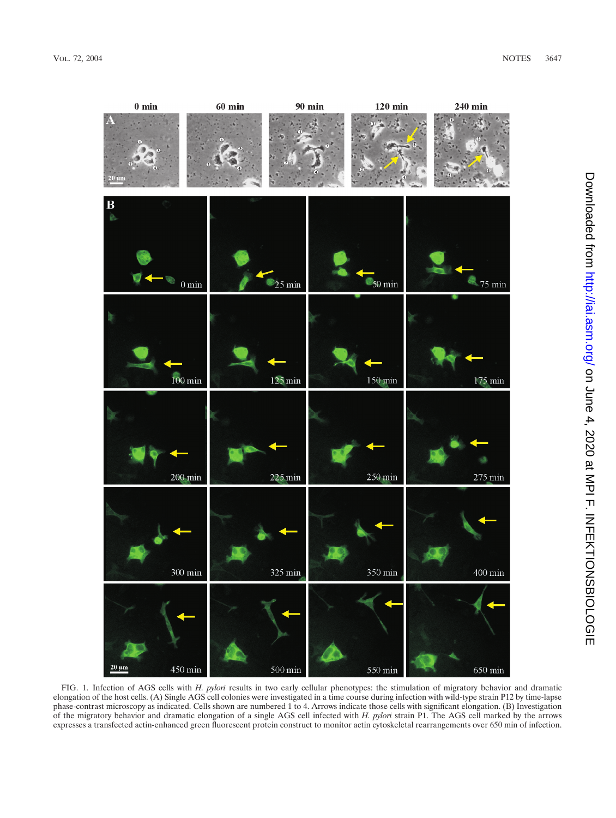

FIG. 1. Infection of AGS cells with *H. pylori* results in two early cellular phenotypes: the stimulation of migratory behavior and dramatic elongation of the host cells. (A) Single AGS cell colonies were investigated in a time course during infection with wild-type strain P12 by time-lapse phase-contrast microscopy as indicated. Cells shown are numbered 1 to 4. Arrows indicate those cells with significant elongation. (B) Investigation of the migratory behavior and dramatic elongation of a single AGS cell infected with *H. pylori* strain P1. The AGS cell marked by the arrows expresses a transfected actin-enhanced green fluorescent protein construct to monitor actin cytoskeletal rearrangements over 650 min of infection.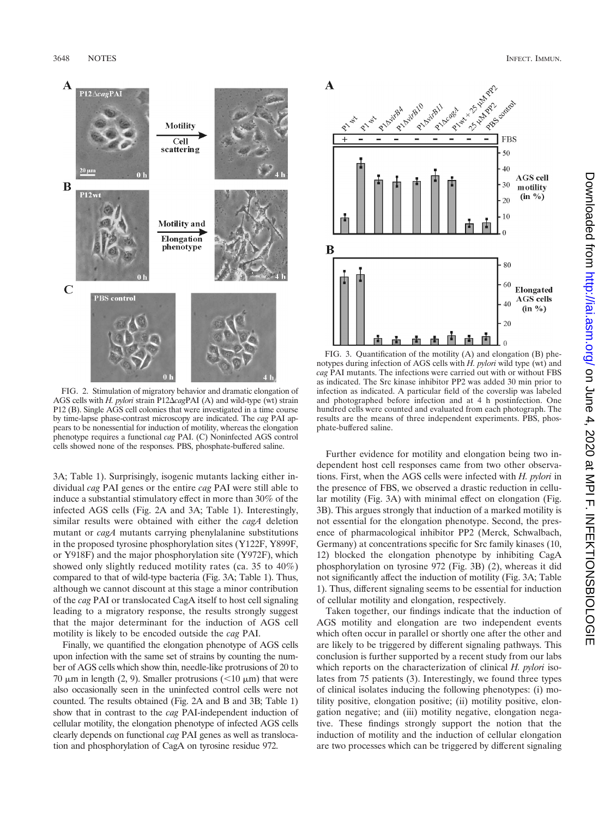

FIG. 2. Stimulation of migratory behavior and dramatic elongation of AGS cells with *H. pylori* strain P12 $\triangle$ *cagPAI* (A) and wild-type (wt) strain P12 (B). Single AGS cell colonies that were investigated in a time course by time-lapse phase-contrast microscopy are indicated. The *cag* PAI appears to be nonessential for induction of motility, whereas the elongation phenotype requires a functional *cag* PAI. (C) Noninfected AGS control cells showed none of the responses. PBS, phosphate-buffered saline.

3A; Table 1). Surprisingly, isogenic mutants lacking either individual *cag* PAI genes or the entire *cag* PAI were still able to induce a substantial stimulatory effect in more than 30% of the infected AGS cells (Fig. 2A and 3A; Table 1). Interestingly, similar results were obtained with either the *cagA* deletion mutant or *cagA* mutants carrying phenylalanine substitutions in the proposed tyrosine phosphorylation sites (Y122F, Y899F, or Y918F) and the major phosphorylation site (Y972F), which showed only slightly reduced motility rates (ca. 35 to 40%) compared to that of wild-type bacteria (Fig. 3A; Table 1). Thus, although we cannot discount at this stage a minor contribution of the *cag* PAI or translocated CagA itself to host cell signaling leading to a migratory response, the results strongly suggest that the major determinant for the induction of AGS cell motility is likely to be encoded outside the *cag* PAI.

Finally, we quantified the elongation phenotype of AGS cells upon infection with the same set of strains by counting the number of AGS cells which show thin, needle-like protrusions of 20 to 70  $\mu$ m in length (2, 9). Smaller protrusions (<10  $\mu$ m) that were also occasionally seen in the uninfected control cells were not counted. The results obtained (Fig. 2A and B and 3B; Table 1) show that in contrast to the *cag* PAI-independent induction of cellular motility, the elongation phenotype of infected AGS cells clearly depends on functional *cag* PAI genes as well as translocation and phosphorylation of CagA on tyrosine residue 972.



FIG. 3. Quantification of the motility (A) and elongation (B) phenotypes during infection of AGS cells with *H. pylori* wild type (wt) and *cag* PAI mutants. The infections were carried out with or without FBS as indicated. The Src kinase inhibitor PP2 was added 30 min prior to infection as indicated. A particular field of the coverslip was labeled and photographed before infection and at 4 h postinfection. One hundred cells were counted and evaluated from each photograph. The results are the means of three independent experiments. PBS, phosphate-buffered saline.

Further evidence for motility and elongation being two independent host cell responses came from two other observations. First, when the AGS cells were infected with *H. pylori* in the presence of FBS, we observed a drastic reduction in cellular motility (Fig. 3A) with minimal effect on elongation (Fig. 3B). This argues strongly that induction of a marked motility is not essential for the elongation phenotype. Second, the presence of pharmacological inhibitor PP2 (Merck, Schwalbach, Germany) at concentrations specific for Src family kinases (10, 12) blocked the elongation phenotype by inhibiting CagA phosphorylation on tyrosine 972 (Fig. 3B) (2), whereas it did not significantly affect the induction of motility (Fig. 3A; Table 1). Thus, different signaling seems to be essential for induction of cellular motility and elongation, respectively.

Taken together, our findings indicate that the induction of AGS motility and elongation are two independent events which often occur in parallel or shortly one after the other and are likely to be triggered by different signaling pathways. This conclusion is further supported by a recent study from our labs which reports on the characterization of clinical *H. pylori* isolates from 75 patients (3). Interestingly, we found three types of clinical isolates inducing the following phenotypes: (i) motility positive, elongation positive; (ii) motility positive, elongation negative; and (iii) motility negative, elongation negative. These findings strongly support the notion that the induction of motility and the induction of cellular elongation are two processes which can be triggered by different signaling